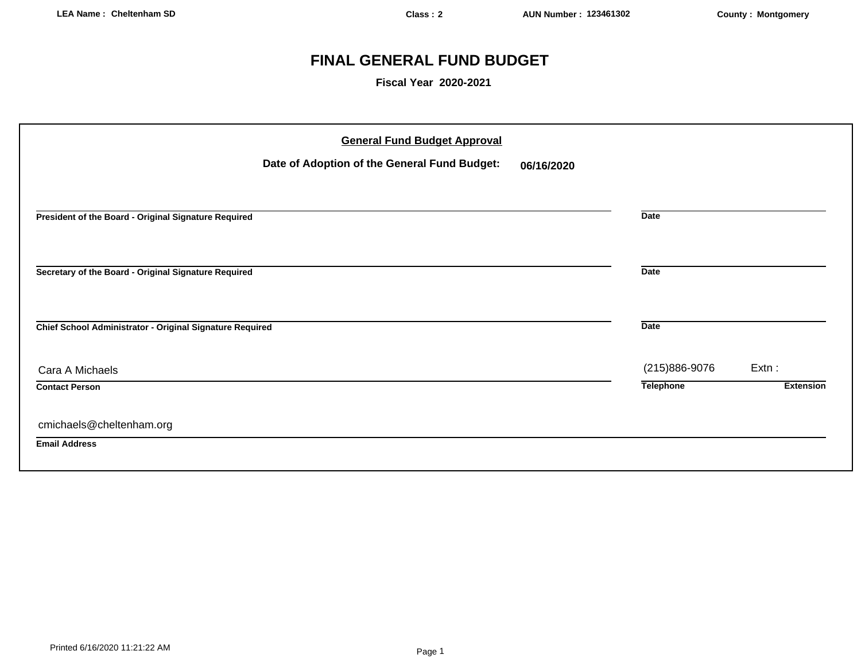# **FINAL GENERAL FUND BUDGET**

**Fiscal Year 2020-2021**

| <b>General Fund Budget Approval</b>                        |                  |                  |
|------------------------------------------------------------|------------------|------------------|
| Date of Adoption of the General Fund Budget:<br>06/16/2020 |                  |                  |
|                                                            |                  |                  |
| President of the Board - Original Signature Required       | <b>Date</b>      |                  |
|                                                            |                  |                  |
| Secretary of the Board - Original Signature Required       | <b>Date</b>      |                  |
| Chief School Administrator - Original Signature Required   | <b>Date</b>      |                  |
| Cara A Michaels                                            | (215)886-9076    | Extn:            |
| <b>Contact Person</b>                                      | <b>Telephone</b> | <b>Extension</b> |
| cmichaels@cheltenham.org                                   |                  |                  |
| <b>Email Address</b>                                       |                  |                  |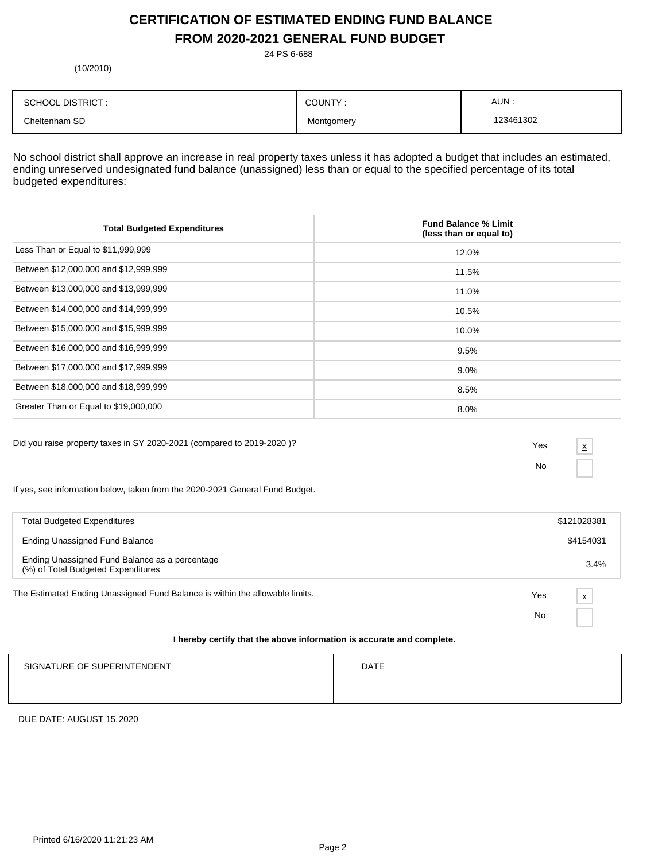# **CERTIFICATION OF ESTIMATED ENDING FUND BALANCE FROM 2020-2021 GENERAL FUND BUDGET**

24 PS 6-688

(10/2010)

| <b>SCHOOL DISTRICT:</b> | COUNTY:    | AUN.      |
|-------------------------|------------|-----------|
| Cheltenham SD           | Montgomery | 123461302 |

No school district shall approve an increase in real property taxes unless it has adopted a budget that includes an estimated, ending unreserved undesignated fund balance (unassigned) less than or equal to the specified percentage of its total budgeted expenditures:

| <b>Total Budgeted Expenditures</b>    | <b>Fund Balance % Limit</b><br>(less than or equal to) |
|---------------------------------------|--------------------------------------------------------|
| Less Than or Equal to \$11,999,999    | 12.0%                                                  |
| Between \$12,000,000 and \$12,999,999 | 11.5%                                                  |
| Between \$13,000,000 and \$13,999,999 | 11.0%                                                  |
| Between \$14,000,000 and \$14,999,999 | 10.5%                                                  |
| Between \$15,000,000 and \$15,999,999 | 10.0%                                                  |
| Between \$16,000,000 and \$16,999,999 | 9.5%                                                   |
| Between \$17,000,000 and \$17,999,999 | $9.0\%$                                                |
| Between \$18,000,000 and \$18,999,999 | 8.5%                                                   |
| Greater Than or Equal to \$19,000,000 | 8.0%                                                   |

Did you raise property taxes in SY 2020-2021 (compared to 2019-2020 )? Yes

No

x

If yes, see information below, taken from the 2020-2021 General Fund Budget.

| <b>Total Budgeted Expenditures</b>                                                   |     | \$121028381 |
|--------------------------------------------------------------------------------------|-----|-------------|
| <b>Ending Unassigned Fund Balance</b>                                                |     | \$4154031   |
| Ending Unassigned Fund Balance as a percentage<br>(%) of Total Budgeted Expenditures |     | 3.4%        |
| The Estimated Ending Unassigned Fund Balance is within the allowable limits.         | Yes | X           |
|                                                                                      | No  |             |
| I hereby certify that the above information is accurate and complete.                |     |             |

| SIGNATURE OF SUPERINTENDENT | <b>DATE</b> |
|-----------------------------|-------------|
|                             |             |

DUE DATE: AUGUST 15,2020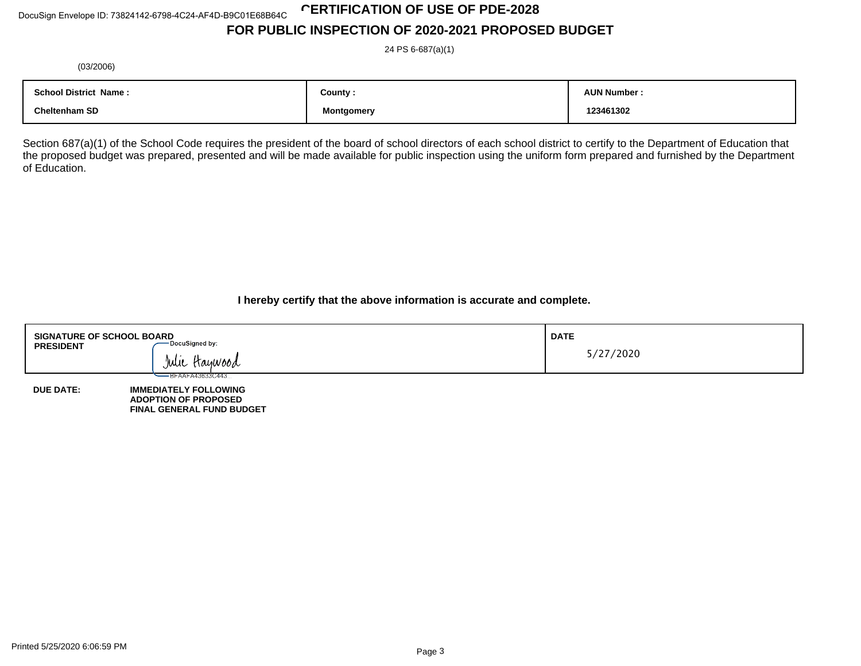# **CERTIFICATION OF USE OF PDE-2028**

# **FOR PUBLIC INSPECTION OF 2020-2021 PROPOSED BUDGET**

24 PS 6-687(a)(1)

(03/2006)

| <b>School District</b><br>Name : | County:    | <b>AUN Number:</b> |
|----------------------------------|------------|--------------------|
| <b>Cheltenham SD</b>             | Montgomery | 123461302          |

Section 687(a)(1) of the School Code requires the president of the board of school directors of each school district to certify to the Department of Education that the proposed budget was prepared, presented and will be made available for public inspection using the uniform form prepared and furnished by the Department of Education.

**I hereby certify that the above information is accurate and complete.**

| <b>SIGNATURE OF SCHOOL BOARD</b><br>- DocuSigned by:<br><b>PRESIDENT</b><br>Julie Haywood |                                                                                                                      | <b>DATE</b><br>5/27/2020 |
|-------------------------------------------------------------------------------------------|----------------------------------------------------------------------------------------------------------------------|--------------------------|
| <b>DUE DATE:</b>                                                                          | — BFAAFA43633C443<br><b>IMMEDIATELY FOLLOWING</b><br><b>ADOPTION OF PROPOSED</b><br><b>FINAL GENERAL FUND BUDGET</b> |                          |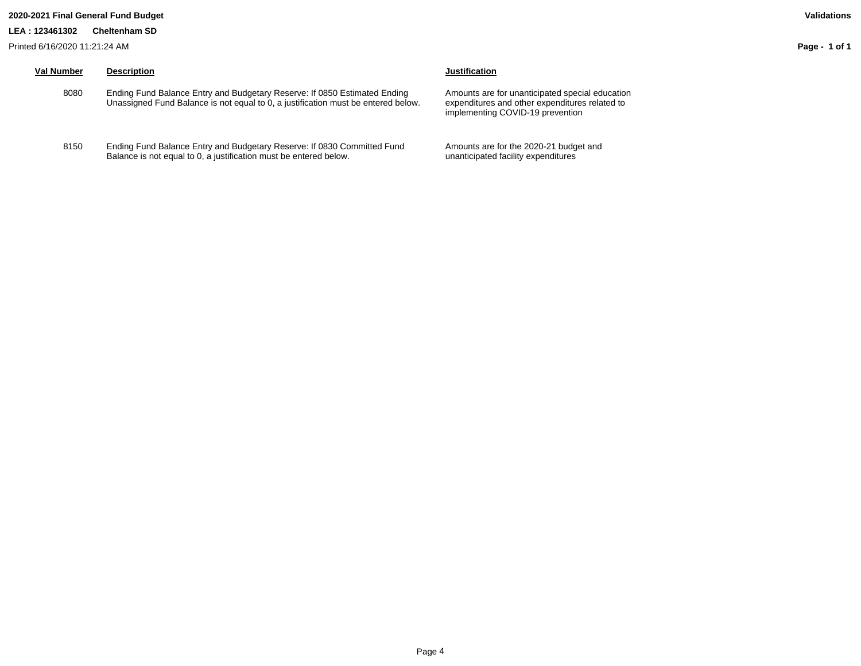#### **2020-2021 Final General Fund Budget Validations**

#### **LEA : 123461302 Cheltenham SD**

Printed 6/16/2020 11:21:24 AM

# **Val Number Description Justification**

- 8080 Ending Fund Balance Entry and Budgetary Reserve: If 0850 Estimated Ending Unassigned Fund Balance is not equal to 0, a justification must be entered below.
- 8150 Ending Fund Balance Entry and Budgetary Reserve: If 0830 Committed Fund Balance is not equal to 0, a justification must be entered below.

Amounts are for unanticipated special education expenditures and other expenditures related to implementing COVID-19 prevention

Amounts are for the 2020-21 budget and unanticipated facility expenditures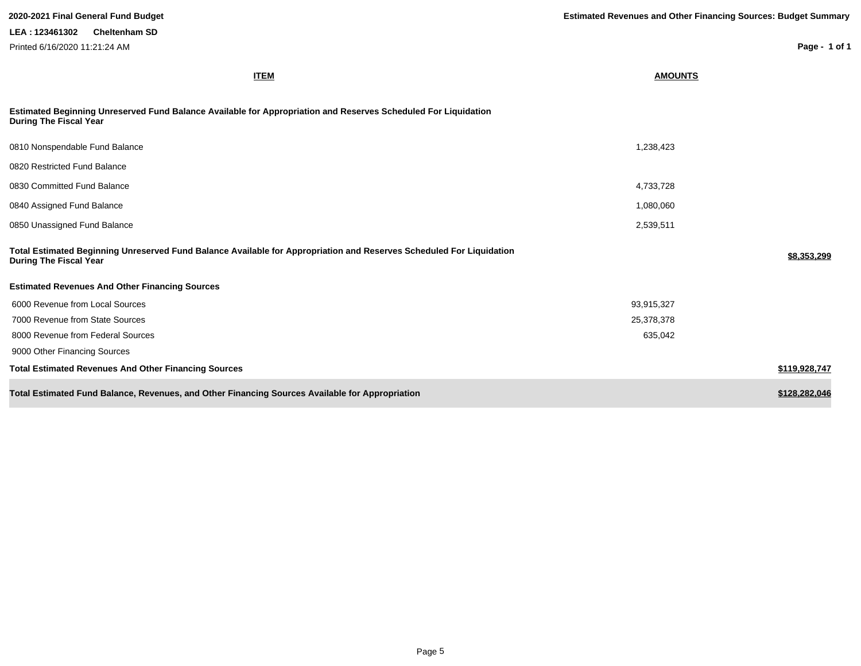| <b>ITEM</b>                                                                                                                                           | <b>AMOUNTS</b> |               |
|-------------------------------------------------------------------------------------------------------------------------------------------------------|----------------|---------------|
| Estimated Beginning Unreserved Fund Balance Available for Appropriation and Reserves Scheduled For Liquidation<br><b>During The Fiscal Year</b>       |                |               |
| 0810 Nonspendable Fund Balance                                                                                                                        | 1,238,423      |               |
| 0820 Restricted Fund Balance                                                                                                                          |                |               |
| 0830 Committed Fund Balance                                                                                                                           | 4,733,728      |               |
| 0840 Assigned Fund Balance                                                                                                                            | 1,080,060      |               |
| 0850 Unassigned Fund Balance                                                                                                                          | 2,539,511      |               |
| Total Estimated Beginning Unreserved Fund Balance Available for Appropriation and Reserves Scheduled For Liquidation<br><b>During The Fiscal Year</b> |                | \$8,353,299   |
| <b>Estimated Revenues And Other Financing Sources</b>                                                                                                 |                |               |
| 6000 Revenue from Local Sources                                                                                                                       | 93,915,327     |               |
| 7000 Revenue from State Sources                                                                                                                       | 25,378,378     |               |
| 8000 Revenue from Federal Sources                                                                                                                     | 635,042        |               |
| 9000 Other Financing Sources                                                                                                                          |                |               |
| <b>Total Estimated Revenues And Other Financing Sources</b>                                                                                           |                | \$119,928,747 |
| Total Estimated Fund Balance, Revenues, and Other Financing Sources Available for Appropriation                                                       |                | \$128,282,046 |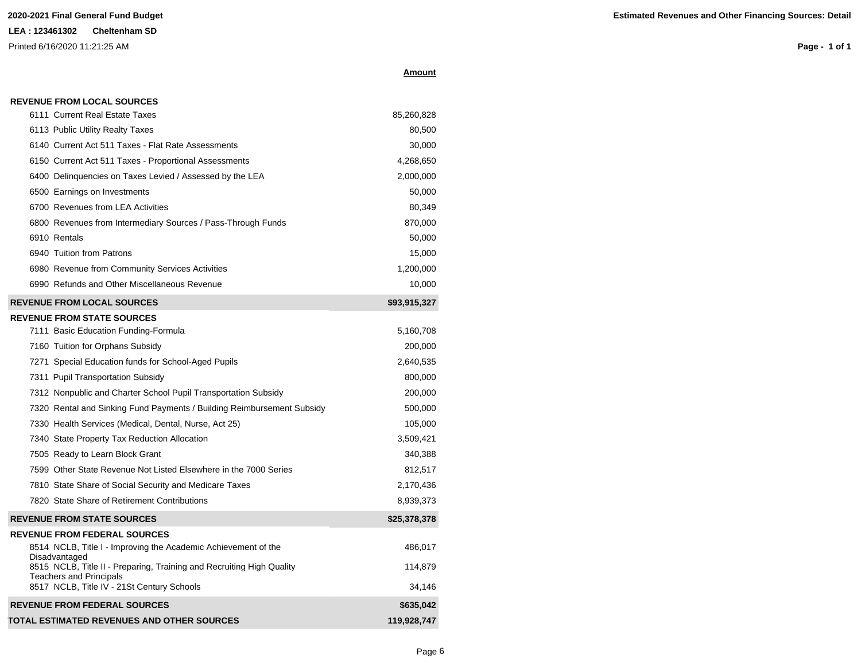| <b>REVENUE FROM LOCAL SOURCES</b> |  |
|-----------------------------------|--|
|-----------------------------------|--|

| <b>REVENUE FROM FEDERAL SOURCES</b>                                                                                                                   | \$635,042         |
|-------------------------------------------------------------------------------------------------------------------------------------------------------|-------------------|
| 8515 NCLB, Title II - Preparing, Training and Recruiting High Quality<br><b>Teachers and Principals</b><br>8517 NCLB, Title IV - 21St Century Schools | 114,879<br>34.146 |
| <b>REVENUE FROM FEDERAL SOURCES</b><br>8514 NCLB, Title I - Improving the Academic Achievement of the<br>Disadvantaged                                | 486,017           |
| <b>REVENUE FROM STATE SOURCES</b>                                                                                                                     | \$25,378,378      |
| 7820 State Share of Retirement Contributions                                                                                                          | 8,939,373         |
| 7810 State Share of Social Security and Medicare Taxes                                                                                                | 2,170,436         |
| 7599 Other State Revenue Not Listed Elsewhere in the 7000 Series                                                                                      | 812,517           |
| 7505 Ready to Learn Block Grant                                                                                                                       | 340,388           |
| 7340 State Property Tax Reduction Allocation                                                                                                          | 3,509,421         |
| 7330 Health Services (Medical, Dental, Nurse, Act 25)                                                                                                 | 105,000           |
| 7320 Rental and Sinking Fund Payments / Building Reimbursement Subsidy                                                                                | 500,000           |
| 7312 Nonpublic and Charter School Pupil Transportation Subsidy                                                                                        | 200,000           |
| 7311 Pupil Transportation Subsidy                                                                                                                     | 800,000           |
| 7271 Special Education funds for School-Aged Pupils                                                                                                   | 2,640,535         |
| 7160 Tuition for Orphans Subsidy                                                                                                                      | 200,000           |
| 7111 Basic Education Funding-Formula                                                                                                                  | 5,160,708         |
| <b>REVENUE FROM STATE SOURCES</b>                                                                                                                     |                   |
| <b>REVENUE FROM LOCAL SOURCES</b>                                                                                                                     | \$93,915,327      |
| 6990 Refunds and Other Miscellaneous Revenue                                                                                                          | 10,000            |
| 6980 Revenue from Community Services Activities                                                                                                       | 1,200,000         |
| 6940 Tuition from Patrons                                                                                                                             | 15,000            |
| 6910 Rentals                                                                                                                                          | 50,000            |
| 6800 Revenues from Intermediary Sources / Pass-Through Funds                                                                                          | 870,000           |
| 6700 Revenues from LEA Activities                                                                                                                     | 80,349            |
| 6500 Earnings on Investments                                                                                                                          | 50,000            |
| 6400 Delinguencies on Taxes Levied / Assessed by the LEA                                                                                              | 2,000,000         |
| 6150 Current Act 511 Taxes - Proportional Assessments                                                                                                 | 4,268,650         |
| 6140 Current Act 511 Taxes - Flat Rate Assessments                                                                                                    | 30,000            |
| 6113 Public Utility Realty Taxes                                                                                                                      | 80,500            |
| 6111 Current Real Estate Taxes                                                                                                                        | 85,260,828        |

**TOTAL ESTIMATED REVENUES AND OTHER SOURCES 119,928,747**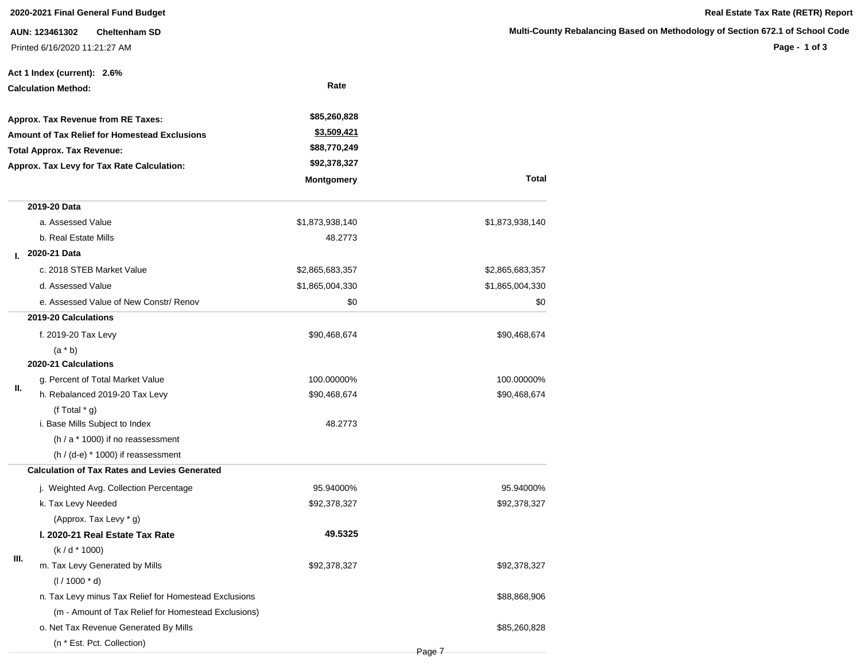**AUN: 123461302 Cheltenham SD** Printed 6/16/2020 11:21:27 AM

|                                                      | Act 1 Index (current): 2.6%                           |                    |                 |
|------------------------------------------------------|-------------------------------------------------------|--------------------|-----------------|
| <b>Calculation Method:</b>                           |                                                       | Rate               |                 |
| Approx. Tax Revenue from RE Taxes:                   |                                                       | \$85,260,828       |                 |
| <b>Amount of Tax Relief for Homestead Exclusions</b> |                                                       | <u>\$3,509,421</u> |                 |
| <b>Total Approx. Tax Revenue:</b>                    |                                                       | \$88,770,249       |                 |
|                                                      | Approx. Tax Levy for Tax Rate Calculation:            | \$92,378,327       |                 |
|                                                      |                                                       | <b>Montgomery</b>  | Total           |
|                                                      | 2019-20 Data                                          |                    |                 |
|                                                      | a. Assessed Value                                     | \$1,873,938,140    | \$1,873,938,140 |
|                                                      | b. Real Estate Mills                                  | 48.2773            |                 |
| L.                                                   | 2020-21 Data                                          |                    |                 |
|                                                      | c. 2018 STEB Market Value                             | \$2,865,683,357    | \$2,865,683,357 |
|                                                      | d. Assessed Value                                     | \$1,865,004,330    | \$1,865,004,330 |
|                                                      | e. Assessed Value of New Constr/ Renov                | \$0                | \$0             |
|                                                      | 2019-20 Calculations                                  |                    |                 |
|                                                      | f. 2019-20 Tax Levy                                   | \$90,468,674       | \$90,468,674    |
|                                                      | $(a * b)$                                             |                    |                 |
|                                                      | 2020-21 Calculations                                  |                    |                 |
| Ш.                                                   | g. Percent of Total Market Value                      | 100.00000%         | 100.00000%      |
|                                                      | h. Rebalanced 2019-20 Tax Levy                        | \$90,468,674       | \$90,468,674    |
|                                                      | (f Total $*$ g)                                       |                    |                 |
|                                                      | i. Base Mills Subject to Index                        | 48.2773            |                 |
|                                                      | $(h / a * 1000)$ if no reassessment                   |                    |                 |
|                                                      | $(h / (d-e) * 1000)$ if reassessment                  |                    |                 |
|                                                      | <b>Calculation of Tax Rates and Levies Generated</b>  |                    |                 |
|                                                      | j. Weighted Avg. Collection Percentage                | 95.94000%          | 95.94000%       |
|                                                      | k. Tax Levy Needed                                    | \$92,378,327       | \$92,378,327    |
|                                                      | (Approx. Tax Levy * g)                                |                    |                 |
|                                                      | I. 2020-21 Real Estate Tax Rate                       | 49.5325            |                 |
| Ш.                                                   | $(k/d * 1000)$                                        |                    |                 |
|                                                      | m. Tax Levy Generated by Mills                        | \$92,378,327       | \$92,378,327    |
|                                                      | $(1/1000 * d)$                                        |                    |                 |
|                                                      | n. Tax Levy minus Tax Relief for Homestead Exclusions |                    | \$88,868,906    |
|                                                      | (m - Amount of Tax Relief for Homestead Exclusions)   |                    |                 |
|                                                      | o. Net Tax Revenue Generated By Mills                 |                    | \$85,260,828    |
|                                                      | (n * Est. Pct. Collection)                            |                    |                 |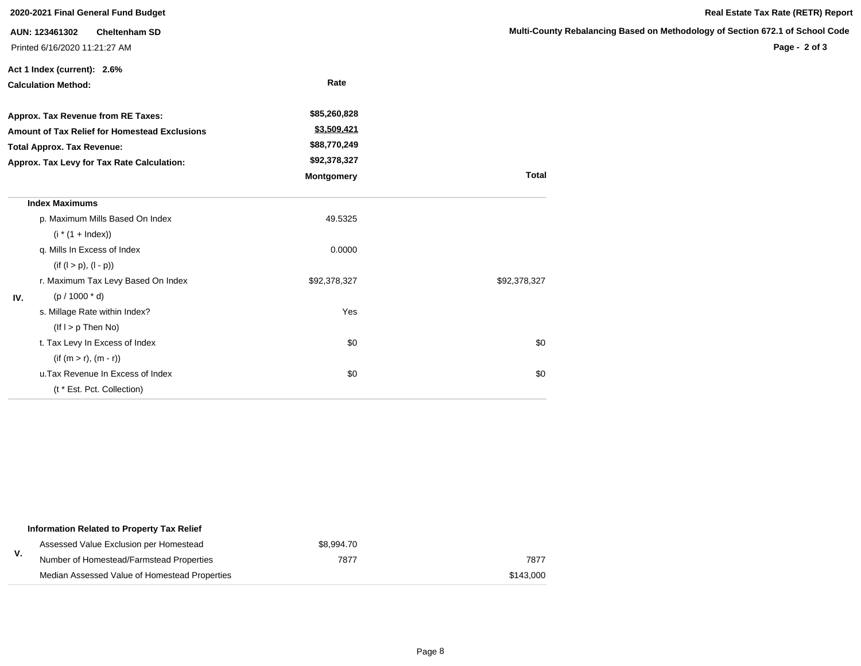|                                                                                                                                                                        | 2020-2021 Final General Fund Budget                                     |                                                                           |              | Real Estate Tax Rate (RETR) Report                                                             |
|------------------------------------------------------------------------------------------------------------------------------------------------------------------------|-------------------------------------------------------------------------|---------------------------------------------------------------------------|--------------|------------------------------------------------------------------------------------------------|
|                                                                                                                                                                        | AUN: 123461302<br><b>Cheltenham SD</b><br>Printed 6/16/2020 11:21:27 AM |                                                                           |              | Multi-County Rebalancing Based on Methodology of Section 672.1 of School Code<br>Page - 2 of 3 |
|                                                                                                                                                                        | Act 1 Index (current): 2.6%<br><b>Calculation Method:</b>               | Rate                                                                      |              |                                                                                                |
| Approx. Tax Revenue from RE Taxes:<br>Amount of Tax Relief for Homestead Exclusions<br><b>Total Approx. Tax Revenue:</b><br>Approx. Tax Levy for Tax Rate Calculation: |                                                                         | \$85,260,828<br>\$3,509,421<br>\$88,770,249<br>\$92,378,327<br>Montgomery | <b>Total</b> |                                                                                                |
|                                                                                                                                                                        | <b>Index Maximums</b>                                                   |                                                                           |              |                                                                                                |
|                                                                                                                                                                        | p. Maximum Mills Based On Index<br>$(i * (1 + Index))$                  | 49.5325                                                                   |              |                                                                                                |
|                                                                                                                                                                        | q. Mills In Excess of Index<br>$(if (l > p), (l - p))$                  | 0.0000                                                                    |              |                                                                                                |
| IV.                                                                                                                                                                    | r. Maximum Tax Levy Based On Index<br>$(p / 1000 * d)$                  | \$92,378,327                                                              | \$92,378,327 |                                                                                                |
|                                                                                                                                                                        | s. Millage Rate within Index?<br>$($ lf l > p Then No $)$               | Yes                                                                       |              |                                                                                                |
|                                                                                                                                                                        | t. Tax Levy In Excess of Index<br>$(if (m > r), (m - r))$               | \$0                                                                       | \$0          |                                                                                                |
|                                                                                                                                                                        | u. Tax Revenue In Excess of Index<br>(t * Est. Pct. Collection)         | \$0                                                                       | \$0          |                                                                                                |

|    | Information Related to Property Tax Relief    |            |           |
|----|-----------------------------------------------|------------|-----------|
|    | Assessed Value Exclusion per Homestead        | \$8,994.70 |           |
| v. | Number of Homestead/Farmstead Properties      | 7877       | 7877      |
|    | Median Assessed Value of Homestead Properties |            | \$143,000 |

# **Rebalancing Based on Methodology of Section 672.1 of School Code**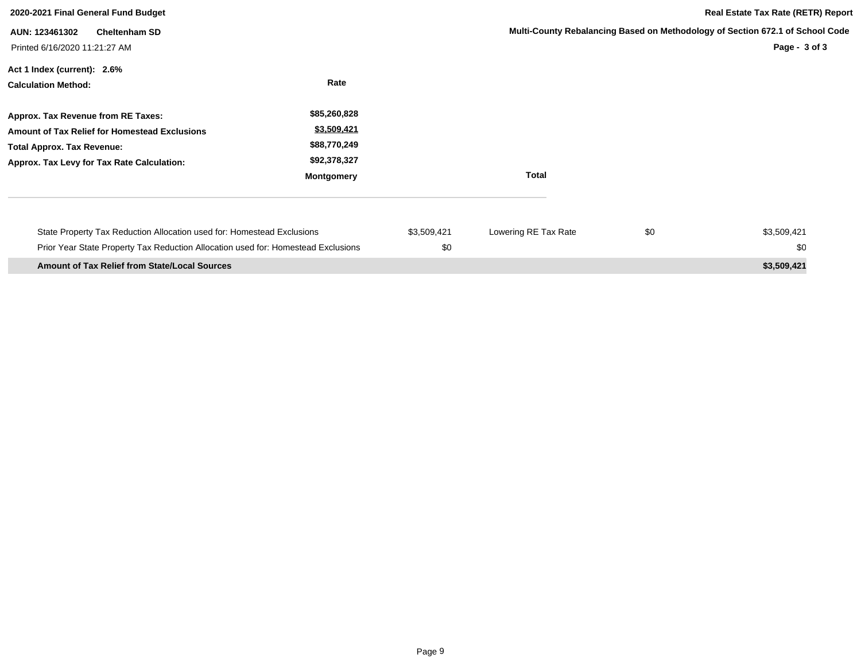| 2020-2021 Final General Fund Budget                                                                                                                                           |                                                                                  |                    |                      | <b>Real Estate Tax Rate (RETR) Report</b> |                                                                                                    |
|-------------------------------------------------------------------------------------------------------------------------------------------------------------------------------|----------------------------------------------------------------------------------|--------------------|----------------------|-------------------------------------------|----------------------------------------------------------------------------------------------------|
| <b>Cheltenham SD</b><br>AUN: 123461302<br>Printed 6/16/2020 11:21:27 AM                                                                                                       |                                                                                  |                    |                      |                                           | Multi-County Rebalancing Based on Methodology of Section 672.1 of School Code<br>Page - $3$ of $3$ |
| Act 1 Index (current): 2.6%<br><b>Calculation Method:</b>                                                                                                                     | Rate                                                                             |                    |                      |                                           |                                                                                                    |
| Approx. Tax Revenue from RE Taxes:<br><b>Amount of Tax Relief for Homestead Exclusions</b><br><b>Total Approx. Tax Revenue:</b><br>Approx. Tax Levy for Tax Rate Calculation: | \$85,260,828<br>\$3,509,421<br>\$88,770,249<br>\$92,378,327<br><b>Montgomery</b> |                    | <b>Total</b>         |                                           |                                                                                                    |
| State Property Tax Reduction Allocation used for: Homestead Exclusions<br>Prior Year State Property Tax Reduction Allocation used for: Homestead Exclusions                   |                                                                                  | \$3,509,421<br>\$0 | Lowering RE Tax Rate | \$0                                       | \$3,509,421<br>\$0                                                                                 |
| <b>Amount of Tax Relief from State/Local Sources</b>                                                                                                                          |                                                                                  |                    |                      |                                           | \$3,509,421                                                                                        |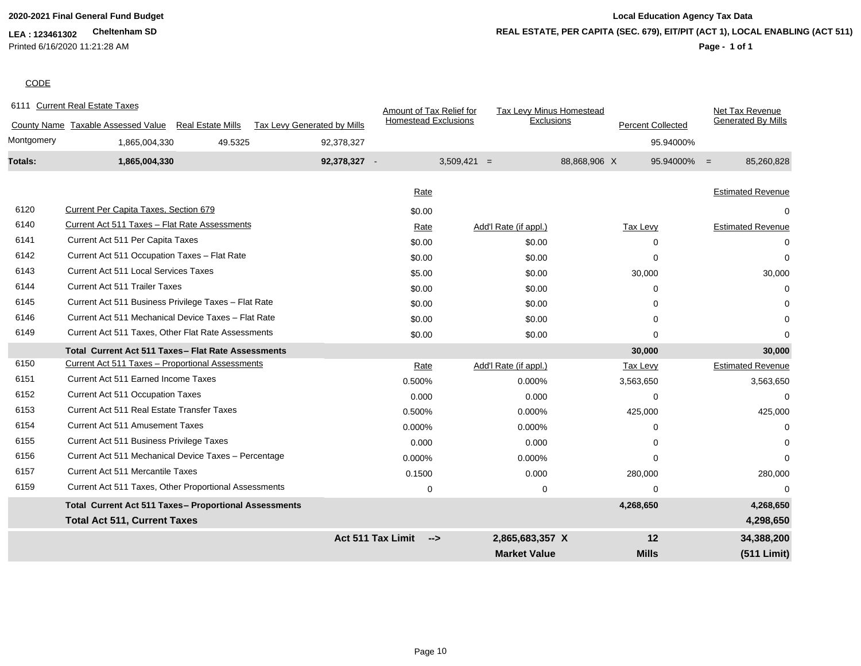Printed 6/16/2020 11:21:28 AM

# **2020-2021 Final General Fund Budget Local Education Agency Tax Data REAL ESTATE, PER CAPITA (SEC. 679), EIT/PIT (ACT 1), LOCAL ENABLING (ACT 511)**

# **Page - 1 of 1**

## **CODE**

|            | 6111 Current Real Estate Taxes                               |                             | Amount of Tax Relief for        | Tax Levy Minus Homestead |                          | Net Tax Revenue              |
|------------|--------------------------------------------------------------|-----------------------------|---------------------------------|--------------------------|--------------------------|------------------------------|
|            | County Name Taxable Assessed Value Real Estate Mills         | Tax Levy Generated by Mills | <b>Homestead Exclusions</b>     | Exclusions               | <b>Percent Collected</b> | <b>Generated By Mills</b>    |
| Montgomery | 49.5325<br>1,865,004,330                                     | 92,378,327                  |                                 |                          |                          | 95.94000%                    |
| Totals:    | 1,865,004,330                                                | 92,378,327 -                |                                 | $3,509,421 =$            | 88,868,906 X             | $95.94000\% =$<br>85,260,828 |
|            |                                                              |                             | Rate                            |                          |                          | <b>Estimated Revenue</b>     |
|            |                                                              |                             |                                 |                          |                          |                              |
| 6120       | Current Per Capita Taxes, Section 679                        |                             | \$0.00                          |                          |                          |                              |
| 6140       | Current Act 511 Taxes - Flat Rate Assessments                |                             | Rate                            | Add'l Rate (if appl.)    | Tax Levy                 | <b>Estimated Revenue</b>     |
| 6141       | Current Act 511 Per Capita Taxes                             |                             | \$0.00                          | \$0.00                   | $\Omega$                 |                              |
| 6142       | Current Act 511 Occupation Taxes - Flat Rate                 |                             | \$0.00                          | \$0.00                   | 0                        | $\Omega$                     |
| 6143       | <b>Current Act 511 Local Services Taxes</b>                  |                             | \$5.00                          | \$0.00                   | 30,000                   | 30,000                       |
| 6144       | <b>Current Act 511 Trailer Taxes</b>                         |                             | \$0.00                          | \$0.00                   | 0                        | ∩                            |
| 6145       | Current Act 511 Business Privilege Taxes - Flat Rate         |                             | \$0.00                          | \$0.00                   | 0                        |                              |
| 6146       | Current Act 511 Mechanical Device Taxes - Flat Rate          |                             | \$0.00                          | \$0.00                   | 0                        | $\Omega$                     |
| 6149       | Current Act 511 Taxes, Other Flat Rate Assessments           |                             | \$0.00                          | \$0.00                   | $\Omega$                 | ∩                            |
|            | Total Current Act 511 Taxes - Flat Rate Assessments          |                             |                                 |                          | 30,000                   | 30,000                       |
| 6150       | Current Act 511 Taxes - Proportional Assessments             |                             | Rate                            | Add'l Rate (if appl.)    | Tax Levy                 | <b>Estimated Revenue</b>     |
| 6151       | <b>Current Act 511 Earned Income Taxes</b>                   |                             | 0.500%                          | 0.000%                   | 3,563,650                | 3,563,650                    |
| 6152       | <b>Current Act 511 Occupation Taxes</b>                      |                             | 0.000                           | 0.000                    | $\Omega$                 | $\Omega$                     |
| 6153       | Current Act 511 Real Estate Transfer Taxes                   |                             | 0.500%                          | 0.000%                   | 425,000                  | 425,000                      |
| 6154       | <b>Current Act 511 Amusement Taxes</b>                       |                             | 0.000%                          | 0.000%                   | 0                        | U                            |
| 6155       | Current Act 511 Business Privilege Taxes                     |                             | 0.000                           | 0.000                    | $\Omega$                 | U                            |
| 6156       | Current Act 511 Mechanical Device Taxes - Percentage         |                             | 0.000%                          | 0.000%                   | $\Omega$                 | $\Omega$                     |
| 6157       | Current Act 511 Mercantile Taxes                             |                             | 0.1500                          | 0.000                    | 280,000                  | 280,000                      |
| 6159       | Current Act 511 Taxes, Other Proportional Assessments        |                             | $\mathbf 0$                     | $\mathbf 0$              | $\Omega$                 |                              |
|            | <b>Total Current Act 511 Taxes- Proportional Assessments</b> |                             |                                 |                          | 4,268,650                | 4,268,650                    |
|            | <b>Total Act 511, Current Taxes</b>                          |                             |                                 |                          |                          | 4,298,650                    |
|            |                                                              |                             | <b>Act 511 Tax Limit</b><br>--> | 2,865,683,357 X          | 12                       | 34,388,200                   |
|            |                                                              |                             |                                 | <b>Market Value</b>      | <b>Mills</b>             | (511 Limit)                  |
|            |                                                              |                             |                                 |                          |                          |                              |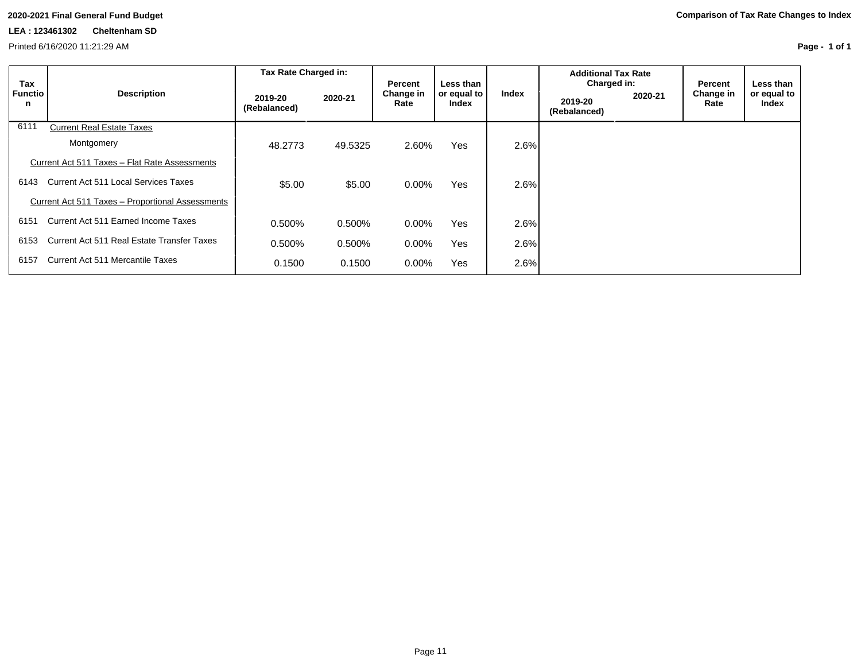Printed 6/16/2020 11:21:29 AM

| Tax<br><b>Functio</b><br>n | <b>Description</b>                               | Tax Rate Charged in:    |         |                              |                                   |       | <b>Additional Tax Rate</b>             |         |                              |                                   |
|----------------------------|--------------------------------------------------|-------------------------|---------|------------------------------|-----------------------------------|-------|----------------------------------------|---------|------------------------------|-----------------------------------|
|                            |                                                  | 2019-20<br>(Rebalanced) | 2020-21 | Percent<br>Change in<br>Rate | Less than<br>or equal to<br>Index | Index | Charged in:<br>2019-20<br>(Rebalanced) | 2020-21 | Percent<br>Change in<br>Rate | Less than<br>or equal to<br>Index |
| 6111                       | <b>Current Real Estate Taxes</b>                 |                         |         |                              |                                   |       |                                        |         |                              |                                   |
|                            | Montgomery                                       | 48.2773                 | 49.5325 | 2.60%                        | Yes                               | 2.6%  |                                        |         |                              |                                   |
|                            | Current Act 511 Taxes - Flat Rate Assessments    |                         |         |                              |                                   |       |                                        |         |                              |                                   |
| 6143                       | Current Act 511 Local Services Taxes             | \$5.00                  | \$5.00  | $0.00\%$                     | Yes                               | 2.6%  |                                        |         |                              |                                   |
|                            | Current Act 511 Taxes - Proportional Assessments |                         |         |                              |                                   |       |                                        |         |                              |                                   |
| 6151                       | Current Act 511 Earned Income Taxes              | 0.500%                  | 0.500%  | $0.00\%$                     | Yes                               | 2.6%  |                                        |         |                              |                                   |
| 6153                       | Current Act 511 Real Estate Transfer Taxes       | 0.500%                  | 0.500%  | 0.00%                        | Yes                               | 2.6%  |                                        |         |                              |                                   |
| 6157                       | <b>Current Act 511 Mercantile Taxes</b>          | 0.1500                  | 0.1500  | 0.00%                        | Yes                               | 2.6%  |                                        |         |                              |                                   |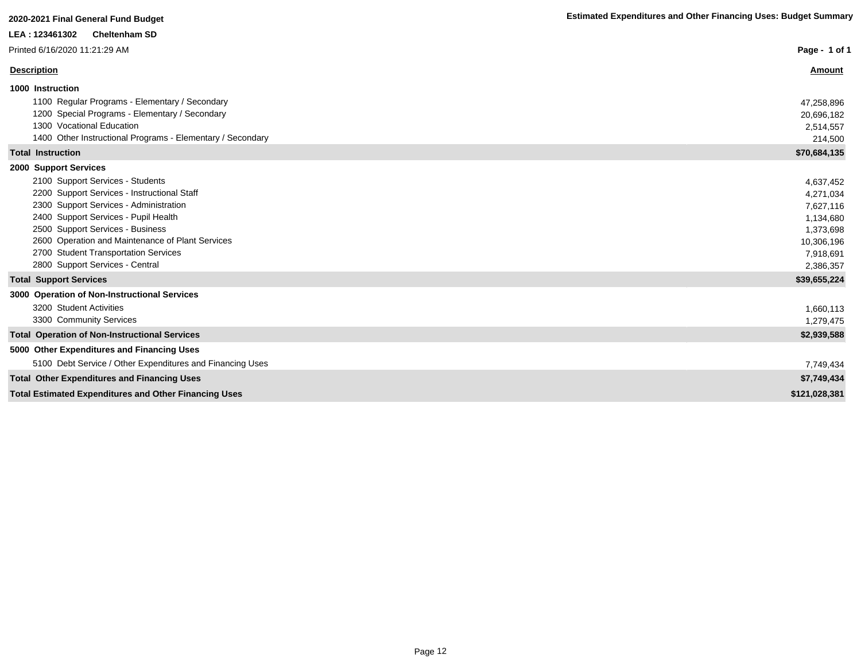| Printed 6/16/2020 11:21:29 AM                                                                                                                                                                                                                                                                                                                                 | Page - 1 of 1                                                                                         |
|---------------------------------------------------------------------------------------------------------------------------------------------------------------------------------------------------------------------------------------------------------------------------------------------------------------------------------------------------------------|-------------------------------------------------------------------------------------------------------|
| <b>Description</b>                                                                                                                                                                                                                                                                                                                                            | <b>Amount</b>                                                                                         |
| 1000 Instruction<br>1100 Regular Programs - Elementary / Secondary<br>1200 Special Programs - Elementary / Secondary<br>1300 Vocational Education<br>1400 Other Instructional Programs - Elementary / Secondary                                                                                                                                               | 47,258,896<br>20,696,182<br>2,514,557<br>214,500                                                      |
| <b>Total Instruction</b>                                                                                                                                                                                                                                                                                                                                      | \$70,684,135                                                                                          |
| 2000 Support Services<br>2100 Support Services - Students<br>2200 Support Services - Instructional Staff<br>2300 Support Services - Administration<br>2400 Support Services - Pupil Health<br>2500 Support Services - Business<br>2600 Operation and Maintenance of Plant Services<br>2700 Student Transportation Services<br>2800 Support Services - Central | 4,637,452<br>4,271,034<br>7,627,116<br>1,134,680<br>1,373,698<br>10,306,196<br>7,918,691<br>2,386,357 |
| <b>Total Support Services</b>                                                                                                                                                                                                                                                                                                                                 | \$39,655,224                                                                                          |
| 3000 Operation of Non-Instructional Services<br>3200 Student Activities<br>3300 Community Services                                                                                                                                                                                                                                                            | 1,660,113<br>1,279,475                                                                                |
| <b>Total Operation of Non-Instructional Services</b>                                                                                                                                                                                                                                                                                                          | \$2,939,588                                                                                           |
| 5000 Other Expenditures and Financing Uses<br>5100 Debt Service / Other Expenditures and Financing Uses                                                                                                                                                                                                                                                       | 7,749,434                                                                                             |
| <b>Total Other Expenditures and Financing Uses</b>                                                                                                                                                                                                                                                                                                            | \$7,749,434                                                                                           |
| <b>Total Estimated Expenditures and Other Financing Uses</b>                                                                                                                                                                                                                                                                                                  | \$121,028,381                                                                                         |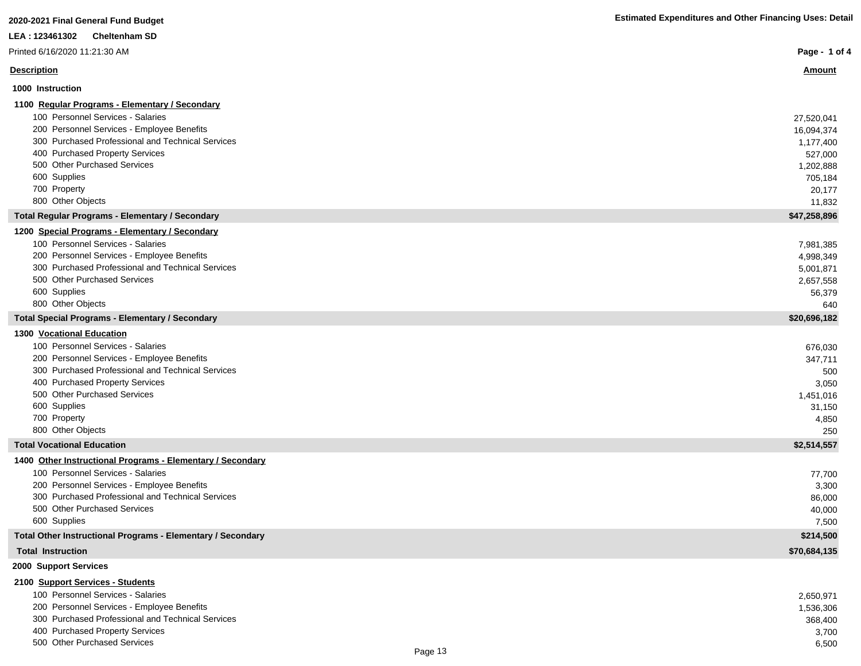| 2020-2021 Final General Fund Budget                         | <b>Estimated Expenditures and Other Financing Uses: Detail</b> |
|-------------------------------------------------------------|----------------------------------------------------------------|
| <b>Cheltenham SD</b><br>LEA: 123461302                      |                                                                |
| Printed 6/16/2020 11:21:30 AM                               | Page - 1 of 4                                                  |
| <b>Description</b>                                          | <u>Amount</u>                                                  |
| 1000 Instruction                                            |                                                                |
| 1100 Regular Programs - Elementary / Secondary              |                                                                |
| 100 Personnel Services - Salaries                           | 27,520,041                                                     |
| 200 Personnel Services - Employee Benefits                  | 16,094,374                                                     |
| 300 Purchased Professional and Technical Services           | 1,177,400                                                      |
| 400 Purchased Property Services                             | 527,000                                                        |
| 500 Other Purchased Services                                | 1,202,888                                                      |
| 600 Supplies                                                | 705,184                                                        |
| 700 Property                                                | 20,177                                                         |
| 800 Other Objects                                           | 11,832                                                         |
| <b>Total Regular Programs - Elementary / Secondary</b>      | \$47,258,896                                                   |
| 1200 Special Programs - Elementary / Secondary              |                                                                |
| 100 Personnel Services - Salaries                           | 7,981,385                                                      |
| 200 Personnel Services - Employee Benefits                  | 4,998,349                                                      |
| 300 Purchased Professional and Technical Services           | 5,001,871                                                      |
| 500 Other Purchased Services                                | 2,657,558                                                      |
| 600 Supplies                                                | 56,379                                                         |
| 800 Other Objects                                           | 640                                                            |
| <b>Total Special Programs - Elementary / Secondary</b>      | \$20,696,182                                                   |
| <b>1300 Vocational Education</b>                            |                                                                |
| 100 Personnel Services - Salaries                           | 676,030                                                        |
| 200 Personnel Services - Employee Benefits                  | 347,711                                                        |
| 300 Purchased Professional and Technical Services           | 500                                                            |
| 400 Purchased Property Services                             | 3,050                                                          |
| 500 Other Purchased Services                                | 1,451,016                                                      |
| 600 Supplies                                                | 31,150                                                         |
| 700 Property                                                | 4,850                                                          |
| 800 Other Objects                                           | 250                                                            |
| <b>Total Vocational Education</b>                           | \$2,514,557                                                    |
| 1400 Other Instructional Programs - Elementary / Secondary  |                                                                |
| 100 Personnel Services - Salaries                           | 77,700                                                         |
| 200 Personnel Services - Employee Benefits                  | 3,300                                                          |
| 300 Purchased Professional and Technical Services           | 86,000                                                         |
| 500 Other Purchased Services                                | 40,000                                                         |
| 600 Supplies                                                | 7,500                                                          |
| Total Other Instructional Programs - Elementary / Secondary | \$214,500                                                      |
| <b>Total Instruction</b>                                    | \$70,684,135                                                   |
| 2000 Support Services                                       |                                                                |
| 2100 Support Services - Students                            |                                                                |

| 100 Personnel Services - Salaries                                                                                                               | 2,650,971 |
|-------------------------------------------------------------------------------------------------------------------------------------------------|-----------|
| 200 Personnel Services - Employee Benefits                                                                                                      | 1,536,306 |
| 300 Purchased Professional and Technical Services                                                                                               | 368,400   |
| 400 Purchased Property Services                                                                                                                 | 3.700     |
| 500 Other Purchased Services<br>the contract of the contract of the contract of the contract of the contract of the contract of the contract of | 6.500     |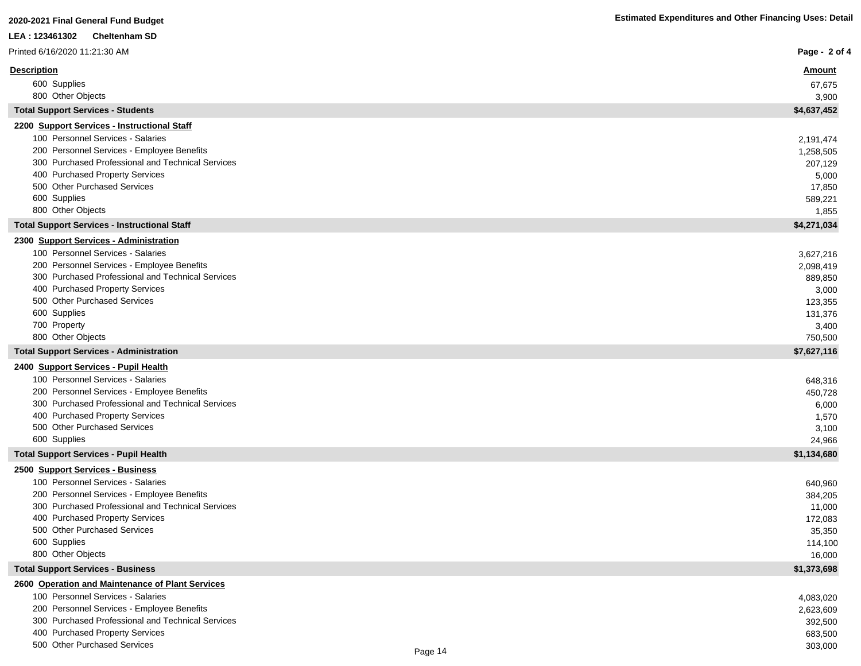| LEA : 123461302<br><b>Cheltenham SD</b>                                              |                   |
|--------------------------------------------------------------------------------------|-------------------|
| Printed 6/16/2020 11:21:30 AM                                                        | Page - 2 of 4     |
| <b>Description</b>                                                                   | <u>Amount</u>     |
| 600 Supplies                                                                         | 67,675            |
| 800 Other Objects                                                                    | 3,900             |
| <b>Total Support Services - Students</b>                                             | \$4,637,452       |
| 2200 Support Services - Instructional Staff                                          |                   |
| 100 Personnel Services - Salaries                                                    | 2,191,474         |
| 200 Personnel Services - Employee Benefits                                           | 1,258,505         |
| 300 Purchased Professional and Technical Services<br>400 Purchased Property Services | 207,129           |
| 500 Other Purchased Services                                                         | 5,000<br>17,850   |
| 600 Supplies                                                                         | 589,221           |
| 800 Other Objects                                                                    | 1,855             |
| <b>Total Support Services - Instructional Staff</b>                                  | \$4,271,034       |
| 2300 Support Services - Administration                                               |                   |
| 100 Personnel Services - Salaries                                                    | 3,627,216         |
| 200 Personnel Services - Employee Benefits                                           | 2,098,419         |
| 300 Purchased Professional and Technical Services                                    | 889,850           |
| 400 Purchased Property Services                                                      | 3,000             |
| 500 Other Purchased Services                                                         | 123,355           |
| 600 Supplies<br>700 Property                                                         | 131,376           |
| 800 Other Objects                                                                    | 3,400<br>750,500  |
| <b>Total Support Services - Administration</b>                                       | \$7,627,116       |
| 2400 Support Services - Pupil Health                                                 |                   |
| 100 Personnel Services - Salaries                                                    | 648,316           |
| 200 Personnel Services - Employee Benefits                                           | 450,728           |
| 300 Purchased Professional and Technical Services                                    | 6,000             |
| 400 Purchased Property Services                                                      | 1,570             |
| 500 Other Purchased Services                                                         | 3,100             |
| 600 Supplies                                                                         | 24,966            |
| <b>Total Support Services - Pupil Health</b>                                         | \$1,134,680       |
| 2500 Support Services - Business<br>100 Personnel Services - Salaries                |                   |
| 200 Personnel Services - Employee Benefits                                           | 640,960           |
| 300 Purchased Professional and Technical Services                                    | 384,205<br>11,000 |
| 400 Purchased Property Services                                                      | 172,083           |
| 500 Other Purchased Services                                                         | 35,350            |
| 600 Supplies                                                                         | 114,100           |
| 800 Other Objects                                                                    | 16,000            |
| <b>Total Support Services - Business</b>                                             | \$1,373,698       |
| 2600 Operation and Maintenance of Plant Services                                     |                   |
| 100 Personnel Services - Salaries                                                    | 4,083,020         |
| 200 Personnel Services - Employee Benefits                                           | 2,623,609         |
| 300 Purchased Professional and Technical Services                                    | 392,500           |
| 400 Purchased Property Services<br>500 Other Purchased Services                      | 683,500           |
|                                                                                      | 303,000           |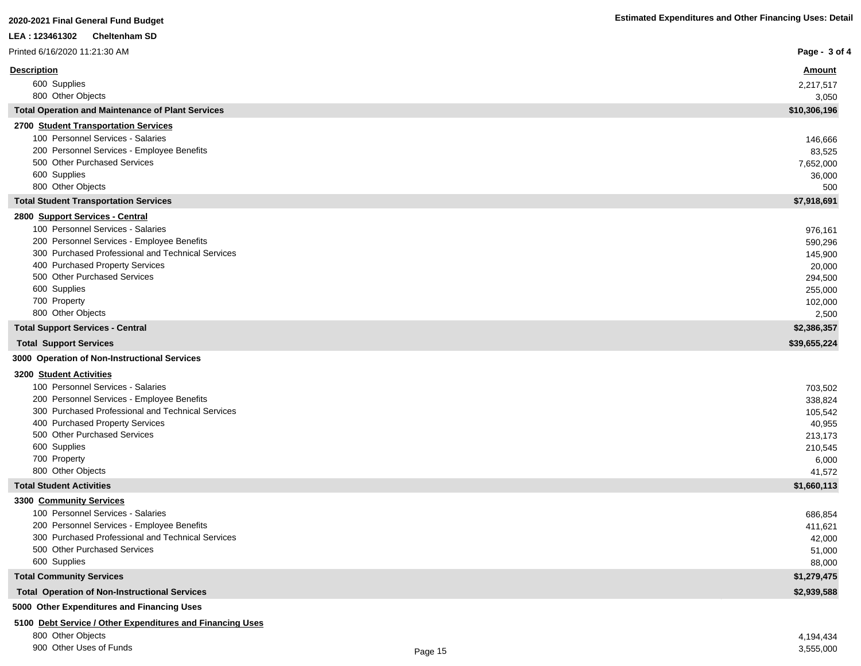| LEA: 123461302<br><b>Cheltenham SD</b>                                                          |                   |
|-------------------------------------------------------------------------------------------------|-------------------|
| Printed 6/16/2020 11:21:30 AM                                                                   | Page - 3 of 4     |
| <b>Description</b>                                                                              | <b>Amount</b>     |
| 600 Supplies                                                                                    | 2,217,517         |
| 800 Other Objects                                                                               | 3,050             |
| <b>Total Operation and Maintenance of Plant Services</b>                                        | \$10,306,196      |
| 2700 Student Transportation Services                                                            |                   |
| 100 Personnel Services - Salaries                                                               | 146,666           |
| 200 Personnel Services - Employee Benefits                                                      | 83,525            |
| 500 Other Purchased Services                                                                    | 7,652,000         |
| 600 Supplies                                                                                    | 36,000            |
| 800 Other Objects                                                                               | 500               |
| <b>Total Student Transportation Services</b>                                                    | \$7,918,691       |
| 2800 Support Services - Central                                                                 |                   |
| 100 Personnel Services - Salaries                                                               | 976,161           |
| 200 Personnel Services - Employee Benefits<br>300 Purchased Professional and Technical Services | 590,296           |
| 400 Purchased Property Services                                                                 | 145,900<br>20,000 |
| 500 Other Purchased Services                                                                    | 294,500           |
| 600 Supplies                                                                                    | 255,000           |
| 700 Property                                                                                    | 102,000           |
| 800 Other Objects                                                                               | 2,500             |
| <b>Total Support Services - Central</b>                                                         | \$2,386,357       |
| <b>Total Support Services</b>                                                                   | \$39,655,224      |
| 3000 Operation of Non-Instructional Services                                                    |                   |
| 3200 Student Activities                                                                         |                   |
| 100 Personnel Services - Salaries                                                               | 703,502           |
| 200 Personnel Services - Employee Benefits                                                      | 338,824           |
| 300 Purchased Professional and Technical Services                                               | 105,542           |
| 400 Purchased Property Services                                                                 | 40,955            |
| 500 Other Purchased Services                                                                    | 213,173           |
| 600 Supplies<br>700 Property                                                                    | 210,545           |
| 800 Other Objects                                                                               | 6,000<br>41,572   |
| <b>Total Student Activities</b>                                                                 | \$1,660,113       |
| 3300 Community Services                                                                         |                   |
| 100 Personnel Services - Salaries                                                               | 686,854           |
| 200 Personnel Services - Employee Benefits                                                      | 411,621           |
| 300 Purchased Professional and Technical Services                                               | 42,000            |
| 500 Other Purchased Services                                                                    | 51,000            |
| 600 Supplies                                                                                    | 88,000            |
| <b>Total Community Services</b>                                                                 | \$1,279,475       |
| <b>Total Operation of Non-Instructional Services</b>                                            | \$2,939,588       |

**5000 Other Expenditures and Financing Uses**

# **5100 Debt Service / Other Expenditures and Financing Uses**

800 Other Objects 4,194,434

900 Other Uses of Funds 3,555,000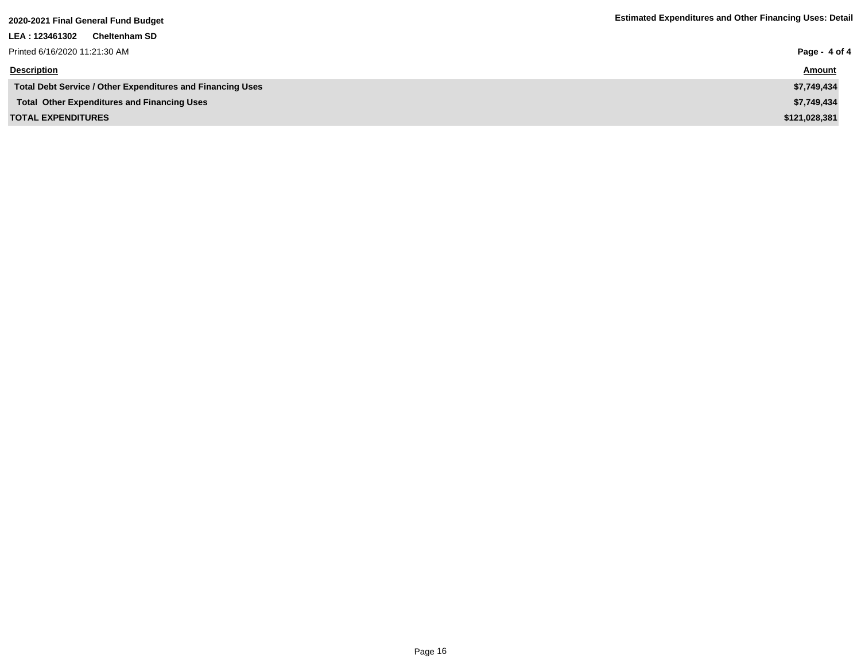| LEA : 123461302<br><b>Cheltenham SD</b>                    |               |
|------------------------------------------------------------|---------------|
| Printed 6/16/2020 11:21:30 AM                              | Page - 4 of 4 |
| <b>Description</b>                                         | <b>Amount</b> |
| Total Debt Service / Other Expenditures and Financing Uses | \$7,749,434   |
| <b>Total Other Expenditures and Financing Uses</b>         | \$7,749,434   |
| <b>TOTAL EXPENDITURES</b>                                  | \$121,028,381 |
|                                                            |               |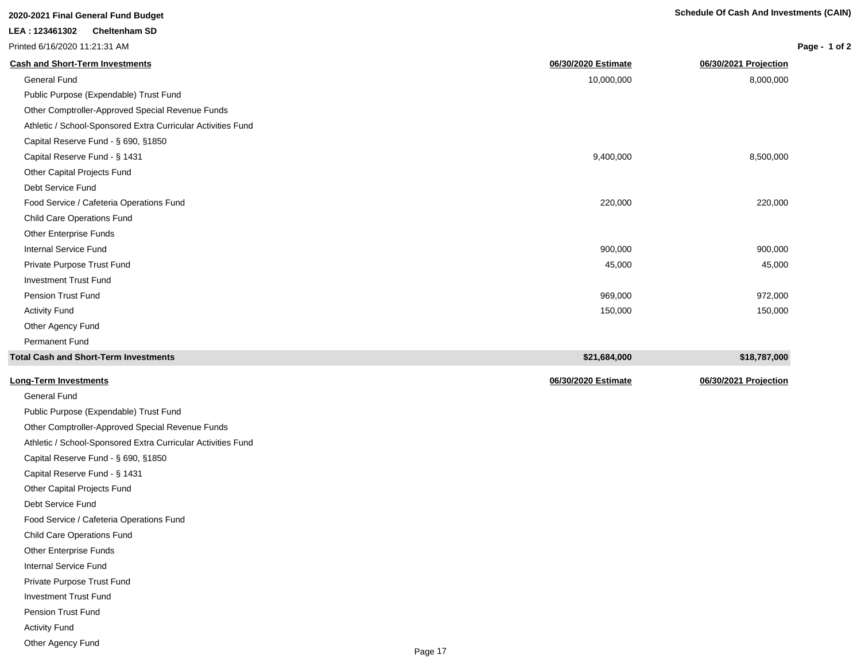| 2020-2021 Final General Fund Budget                          |                     | <b>Schedule Of Cash And Investments (CAIN)</b> |               |  |
|--------------------------------------------------------------|---------------------|------------------------------------------------|---------------|--|
| LEA: 123461302<br><b>Cheltenham SD</b>                       |                     |                                                |               |  |
| Printed 6/16/2020 11:21:31 AM                                |                     |                                                | Page - 1 of 2 |  |
| <b>Cash and Short-Term Investments</b>                       | 06/30/2020 Estimate | 06/30/2021 Projection                          |               |  |
| <b>General Fund</b>                                          | 10,000,000          | 8,000,000                                      |               |  |
| Public Purpose (Expendable) Trust Fund                       |                     |                                                |               |  |
| Other Comptroller-Approved Special Revenue Funds             |                     |                                                |               |  |
| Athletic / School-Sponsored Extra Curricular Activities Fund |                     |                                                |               |  |
| Capital Reserve Fund - § 690, §1850                          |                     |                                                |               |  |
| Capital Reserve Fund - § 1431                                | 9,400,000           | 8,500,000                                      |               |  |
| Other Capital Projects Fund                                  |                     |                                                |               |  |
| Debt Service Fund                                            |                     |                                                |               |  |
| Food Service / Cafeteria Operations Fund                     | 220,000             | 220,000                                        |               |  |
| <b>Child Care Operations Fund</b>                            |                     |                                                |               |  |
| Other Enterprise Funds                                       |                     |                                                |               |  |
| Internal Service Fund                                        | 900,000             | 900,000                                        |               |  |
| Private Purpose Trust Fund                                   | 45,000              | 45,000                                         |               |  |
| <b>Investment Trust Fund</b>                                 |                     |                                                |               |  |
| <b>Pension Trust Fund</b>                                    | 969,000             | 972,000                                        |               |  |
| <b>Activity Fund</b>                                         | 150,000             | 150,000                                        |               |  |
| Other Agency Fund                                            |                     |                                                |               |  |
| <b>Permanent Fund</b>                                        |                     |                                                |               |  |
| <b>Total Cash and Short-Term Investments</b>                 | \$21,684,000        | \$18,787,000                                   |               |  |

|                                                              | <del>.</del>        | <del>.</del> . <del>.</del> |
|--------------------------------------------------------------|---------------------|-----------------------------|
| Long-Term Investments                                        | 06/30/2020 Estimate | 06/30/2021 Projection       |
| <b>General Fund</b>                                          |                     |                             |
| Public Purpose (Expendable) Trust Fund                       |                     |                             |
| Other Comptroller-Approved Special Revenue Funds             |                     |                             |
| Athletic / School-Sponsored Extra Curricular Activities Fund |                     |                             |
| Capital Reserve Fund - § 690, §1850                          |                     |                             |
| Capital Reserve Fund - § 1431                                |                     |                             |
| Other Capital Projects Fund                                  |                     |                             |
| Debt Service Fund                                            |                     |                             |
| Food Service / Cafeteria Operations Fund                     |                     |                             |
| <b>Child Care Operations Fund</b>                            |                     |                             |
| Other Enterprise Funds                                       |                     |                             |
| Internal Service Fund                                        |                     |                             |
| Private Purpose Trust Fund                                   |                     |                             |
| <b>Investment Trust Fund</b>                                 |                     |                             |
| Pension Trust Fund                                           |                     |                             |
| <b>Activity Fund</b>                                         |                     |                             |
| Other Agency Fund                                            |                     |                             |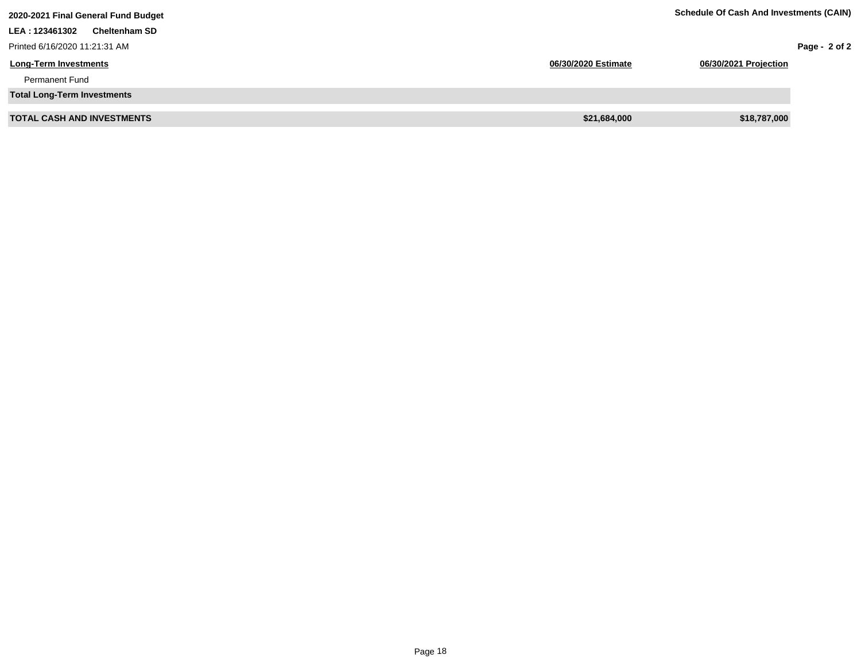| 2020-2021 Final General Fund Budget    |                     | <b>Schedule Of Cash And Investments (CAIN)</b> |                 |
|----------------------------------------|---------------------|------------------------------------------------|-----------------|
| LEA: 123461302<br><b>Cheltenham SD</b> |                     |                                                |                 |
| Printed 6/16/2020 11:21:31 AM          |                     |                                                | Page - $2$ of 2 |
| <b>Long-Term Investments</b>           | 06/30/2020 Estimate | 06/30/2021 Projection                          |                 |
| <b>Permanent Fund</b>                  |                     |                                                |                 |
| <b>Total Long-Term Investments</b>     |                     |                                                |                 |
| <b>TOTAL CASH AND INVESTMENTS</b>      | \$21,684,000        | \$18,787,000                                   |                 |
|                                        |                     |                                                |                 |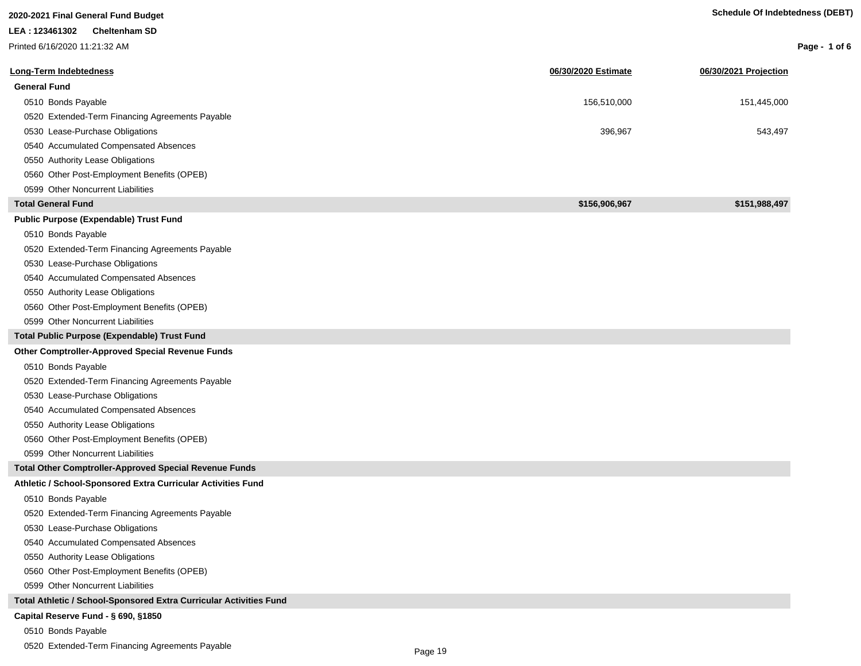| 2020-2021 Final General Fund Budget                                |                     | <b>Schedule Of Indebtedness (DEBT)</b> |                 |
|--------------------------------------------------------------------|---------------------|----------------------------------------|-----------------|
| LEA: 123461302<br><b>Cheltenham SD</b>                             |                     |                                        |                 |
| Printed 6/16/2020 11:21:32 AM                                      |                     |                                        | Page - 1 of $6$ |
| Long-Term Indebtedness                                             | 06/30/2020 Estimate | 06/30/2021 Projection                  |                 |
| <b>General Fund</b>                                                |                     |                                        |                 |
| 0510 Bonds Payable                                                 | 156,510,000         | 151,445,000                            |                 |
| 0520 Extended-Term Financing Agreements Payable                    |                     |                                        |                 |
| 0530 Lease-Purchase Obligations                                    | 396,967             | 543,497                                |                 |
| 0540 Accumulated Compensated Absences                              |                     |                                        |                 |
| 0550 Authority Lease Obligations                                   |                     |                                        |                 |
| 0560 Other Post-Employment Benefits (OPEB)                         |                     |                                        |                 |
| 0599 Other Noncurrent Liabilities                                  |                     |                                        |                 |
| <b>Total General Fund</b>                                          | \$156,906,967       | \$151,988,497                          |                 |
| Public Purpose (Expendable) Trust Fund                             |                     |                                        |                 |
| 0510 Bonds Payable                                                 |                     |                                        |                 |
| 0520 Extended-Term Financing Agreements Payable                    |                     |                                        |                 |
| 0530 Lease-Purchase Obligations                                    |                     |                                        |                 |
| 0540 Accumulated Compensated Absences                              |                     |                                        |                 |
| 0550 Authority Lease Obligations                                   |                     |                                        |                 |
| 0560 Other Post-Employment Benefits (OPEB)                         |                     |                                        |                 |
| 0599 Other Noncurrent Liabilities                                  |                     |                                        |                 |
| Total Public Purpose (Expendable) Trust Fund                       |                     |                                        |                 |
| <b>Other Comptroller-Approved Special Revenue Funds</b>            |                     |                                        |                 |
| 0510 Bonds Payable                                                 |                     |                                        |                 |
| 0520 Extended-Term Financing Agreements Payable                    |                     |                                        |                 |
| 0530 Lease-Purchase Obligations                                    |                     |                                        |                 |
| 0540 Accumulated Compensated Absences                              |                     |                                        |                 |
| 0550 Authority Lease Obligations                                   |                     |                                        |                 |
| 0560 Other Post-Employment Benefits (OPEB)                         |                     |                                        |                 |
| 0599 Other Noncurrent Liabilities                                  |                     |                                        |                 |
| <b>Total Other Comptroller-Approved Special Revenue Funds</b>      |                     |                                        |                 |
| Athletic / School-Sponsored Extra Curricular Activities Fund       |                     |                                        |                 |
| 0510 Bonds Payable                                                 |                     |                                        |                 |
| 0520 Extended-Term Financing Agreements Payable                    |                     |                                        |                 |
| 0530 Lease-Purchase Obligations                                    |                     |                                        |                 |
| 0540 Accumulated Compensated Absences                              |                     |                                        |                 |
| 0550 Authority Lease Obligations                                   |                     |                                        |                 |
| 0560 Other Post-Employment Benefits (OPEB)                         |                     |                                        |                 |
| 0599 Other Noncurrent Liabilities                                  |                     |                                        |                 |
| Total Athletic / School-Sponsored Extra Curricular Activities Fund |                     |                                        |                 |
| Capital Reserve Fund - § 690, §1850                                |                     |                                        |                 |
| 0510 Bonds Payable                                                 |                     |                                        |                 |

0520 Extended-Term Financing Agreements Payable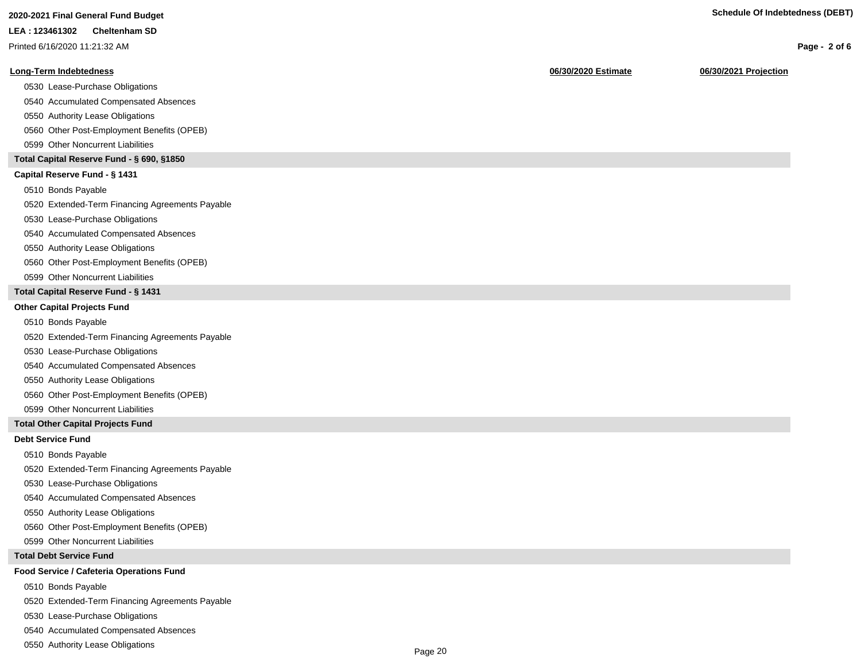Printed 6/16/2020 11:21:32 AM

### **Long-Term Indebtedness 06/30/2020 Estimate 06/30/2021 Projection**

0530 Lease-Purchase Obligations

0540 Accumulated Compensated Absences

0550 Authority Lease Obligations

0560 Other Post-Employment Benefits (OPEB)

0599 Other Noncurrent Liabilities

#### **Total Capital Reserve Fund - § 690, §1850**

#### **Capital Reserve Fund - § 1431**

0510 Bonds Payable

0520 Extended-Term Financing Agreements Payable

0530 Lease-Purchase Obligations

0540 Accumulated Compensated Absences

#### 0550 Authority Lease Obligations

0560 Other Post-Employment Benefits (OPEB)

0599 Other Noncurrent Liabilities

### **Total Capital Reserve Fund - § 1431**

#### **Other Capital Projects Fund**

0510 Bonds Payable

0520 Extended-Term Financing Agreements Payable

0530 Lease-Purchase Obligations

0540 Accumulated Compensated Absences

0550 Authority Lease Obligations

0560 Other Post-Employment Benefits (OPEB)

0599 Other Noncurrent Liabilities

#### **Total Other Capital Projects Fund**

### **Debt Service Fund**

0510 Bonds Payable

0520 Extended-Term Financing Agreements Payable

0530 Lease-Purchase Obligations

0540 Accumulated Compensated Absences

0550 Authority Lease Obligations

0560 Other Post-Employment Benefits (OPEB)

0599 Other Noncurrent Liabilities

### **Total Debt Service Fund**

### **Food Service / Cafeteria Operations Fund**

0510 Bonds Payable

0520 Extended-Term Financing Agreements Payable

0530 Lease-Purchase Obligations

0540 Accumulated Compensated Absences

0550 Authority Lease Obligations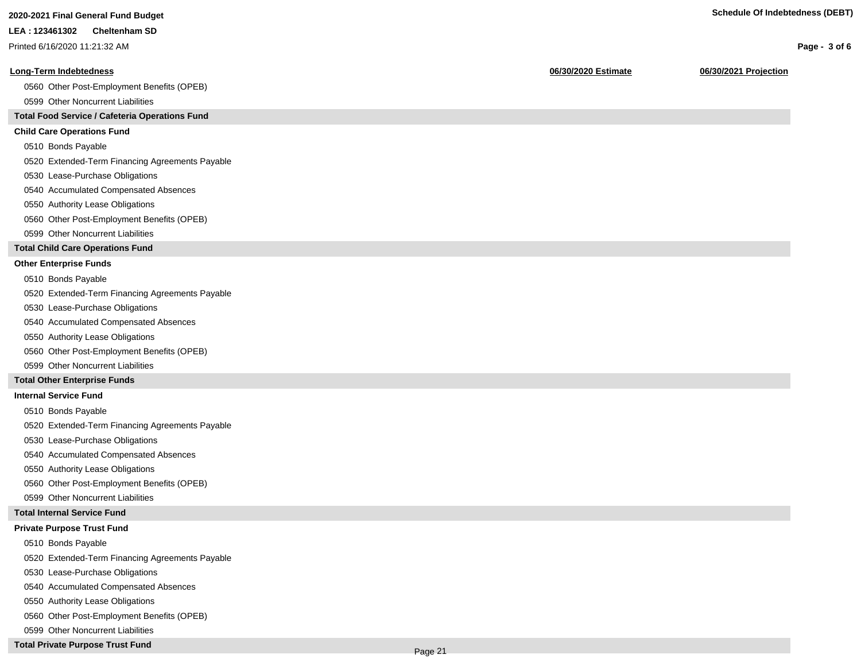Printed 6/16/2020 11:21:32 AM

#### **Long-Term Indebtedness 06/30/2020 Estimate 06/30/2021 Projection**

0560 Other Post-Employment Benefits (OPEB)

0599 Other Noncurrent Liabilities

#### **Total Food Service / Cafeteria Operations Fund**

#### **Child Care Operations Fund**

0510 Bonds Payable

0520 Extended-Term Financing Agreements Payable

- 0530 Lease-Purchase Obligations
- 0540 Accumulated Compensated Absences
- 0550 Authority Lease Obligations
- 0560 Other Post-Employment Benefits (OPEB)
- 0599 Other Noncurrent Liabilities

#### **Total Child Care Operations Fund**

#### **Other Enterprise Funds**

- 0510 Bonds Payable
- 0520 Extended-Term Financing Agreements Payable
- 0530 Lease-Purchase Obligations
- 0540 Accumulated Compensated Absences
- 0550 Authority Lease Obligations
- 0560 Other Post-Employment Benefits (OPEB)
- 0599 Other Noncurrent Liabilities

#### **Total Other Enterprise Funds**

#### **Internal Service Fund**

- 0510 Bonds Payable
- 0520 Extended-Term Financing Agreements Payable
- 0530 Lease-Purchase Obligations
- 0540 Accumulated Compensated Absences
- 0550 Authority Lease Obligations
- 0560 Other Post-Employment Benefits (OPEB)
- 0599 Other Noncurrent Liabilities

#### **Total Internal Service Fund**

#### **Private Purpose Trust Fund**

- 0510 Bonds Payable
- 0520 Extended-Term Financing Agreements Payable
- 0530 Lease-Purchase Obligations
- 0540 Accumulated Compensated Absences
- 0550 Authority Lease Obligations
- 0560 Other Post-Employment Benefits (OPEB)
- 0599 Other Noncurrent Liabilities
- **Total Private Purpose Trust Fund**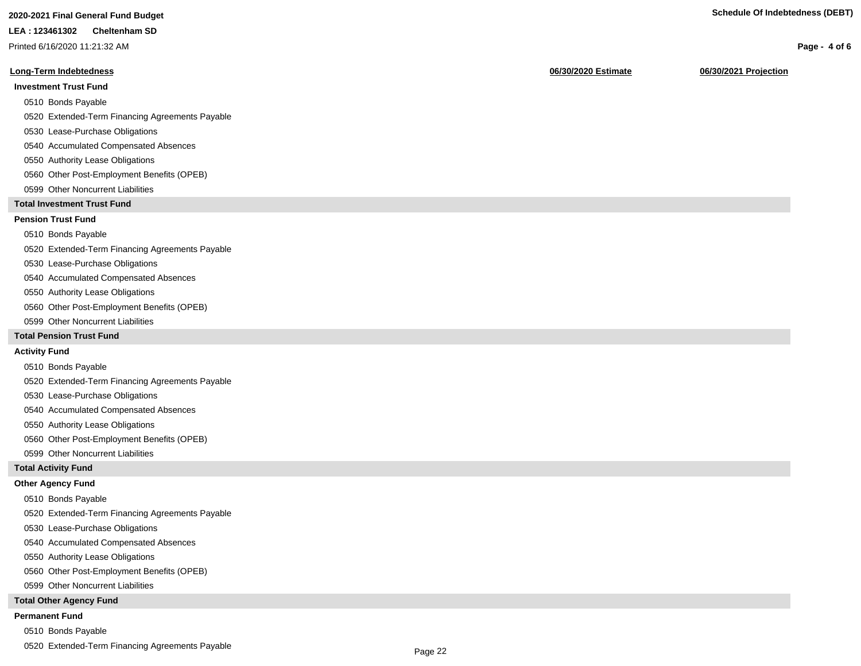# **2020-2021 Final General Fund Budget Schedule Of Indebtedness (DEBT)**

#### **LEA : 123461302 Cheltenham SD**

Printed 6/16/2020 11:21:32 AM

#### **Long-Term Indebtedness 06/30/2020 Estimate 06/30/2021 Projection**

# **Investment Trust Fund**

- 0510 Bonds Payable
- 0520 Extended-Term Financing Agreements Payable
- 0530 Lease-Purchase Obligations
- 0540 Accumulated Compensated Absences
- 0550 Authority Lease Obligations
- 0560 Other Post-Employment Benefits (OPEB)
- 0599 Other Noncurrent Liabilities

#### **Total Investment Trust Fund**

### **Pension Trust Fund**

#### 0510 Bonds Payable

0520 Extended-Term Financing Agreements Payable

- 0530 Lease-Purchase Obligations
- 0540 Accumulated Compensated Absences
- 0550 Authority Lease Obligations
- 0560 Other Post-Employment Benefits (OPEB)
- 0599 Other Noncurrent Liabilities

#### **Total Pension Trust Fund**

#### **Activity Fund**

- 0510 Bonds Payable
- 0520 Extended-Term Financing Agreements Payable
- 0530 Lease-Purchase Obligations
- 0540 Accumulated Compensated Absences
- 0550 Authority Lease Obligations
- 0560 Other Post-Employment Benefits (OPEB)
- 0599 Other Noncurrent Liabilities

#### **Total Activity Fund**

#### **Other Agency Fund**

- 0510 Bonds Payable
- 0520 Extended-Term Financing Agreements Payable
- 0530 Lease-Purchase Obligations
- 0540 Accumulated Compensated Absences
- 0550 Authority Lease Obligations
- 0560 Other Post-Employment Benefits (OPEB)
- 0599 Other Noncurrent Liabilities

#### **Total Other Agency Fund**

#### **Permanent Fund**

- 0510 Bonds Payable
- 0520 Extended-Term Financing Agreements Payable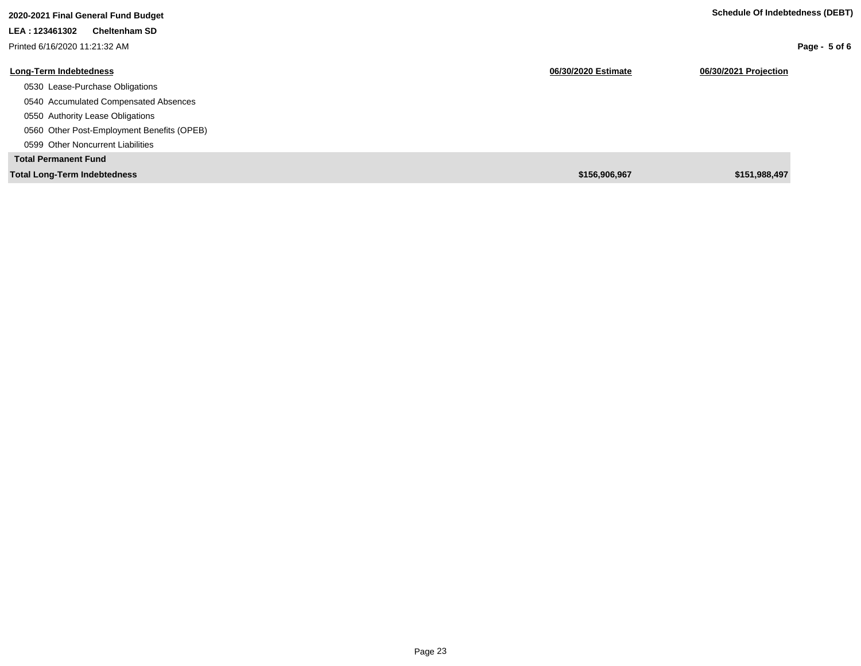| 2020-2021 Final General Fund Budget        |                     | Schedule Of Indebtedness (DEBT) |
|--------------------------------------------|---------------------|---------------------------------|
| LEA: 123461302<br><b>Cheltenham SD</b>     |                     |                                 |
| Printed 6/16/2020 11:21:32 AM              |                     | Page - $5$ of 6                 |
| <b>Long-Term Indebtedness</b>              | 06/30/2020 Estimate | 06/30/2021 Projection           |
| 0530 Lease-Purchase Obligations            |                     |                                 |
| 0540 Accumulated Compensated Absences      |                     |                                 |
| 0550 Authority Lease Obligations           |                     |                                 |
| 0560 Other Post-Employment Benefits (OPEB) |                     |                                 |
| 0599 Other Noncurrent Liabilities          |                     |                                 |
| <b>Total Permanent Fund</b>                |                     |                                 |
| <b>Total Long-Term Indebtedness</b>        | \$156,906,967       | \$151,988,497                   |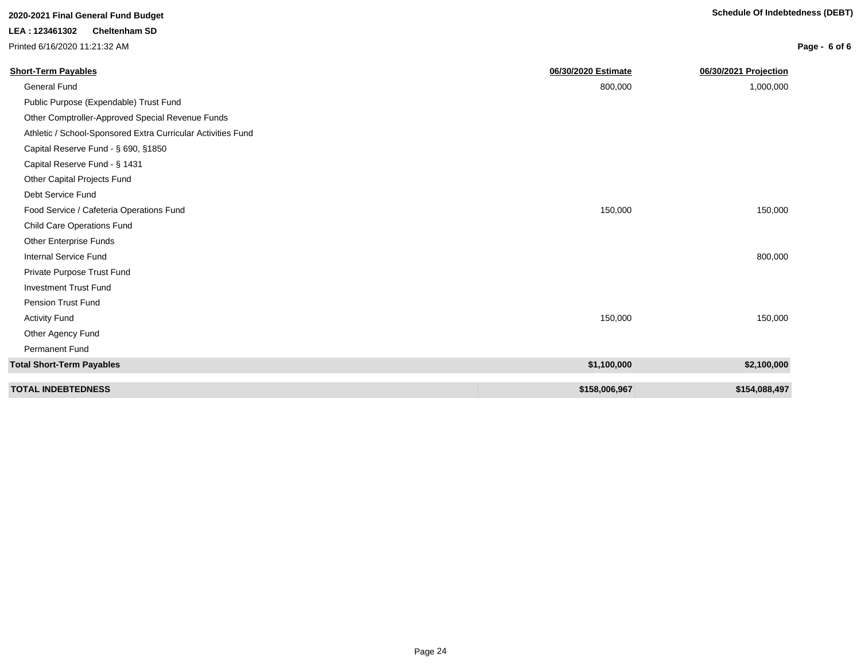# **Page - 6 of 6**

| <b>Short-Term Payables</b>                                   | 06/30/2020 Estimate | 06/30/2021 Projection |
|--------------------------------------------------------------|---------------------|-----------------------|
| <b>General Fund</b>                                          | 800,000             | 1,000,000             |
| Public Purpose (Expendable) Trust Fund                       |                     |                       |
| Other Comptroller-Approved Special Revenue Funds             |                     |                       |
| Athletic / School-Sponsored Extra Curricular Activities Fund |                     |                       |
| Capital Reserve Fund - § 690, §1850                          |                     |                       |
| Capital Reserve Fund - § 1431                                |                     |                       |
| Other Capital Projects Fund                                  |                     |                       |
| Debt Service Fund                                            |                     |                       |
| Food Service / Cafeteria Operations Fund                     | 150,000             | 150,000               |
| <b>Child Care Operations Fund</b>                            |                     |                       |
| Other Enterprise Funds                                       |                     |                       |
| <b>Internal Service Fund</b>                                 |                     | 800,000               |
| Private Purpose Trust Fund                                   |                     |                       |
| <b>Investment Trust Fund</b>                                 |                     |                       |
| Pension Trust Fund                                           |                     |                       |
| <b>Activity Fund</b>                                         | 150,000             | 150,000               |
| Other Agency Fund                                            |                     |                       |
| Permanent Fund                                               |                     |                       |
| <b>Total Short-Term Payables</b>                             | \$1,100,000         | \$2,100,000           |
| <b>TOTAL INDEBTEDNESS</b>                                    | \$158,006,967       | \$154,088,497         |

**LEA : 123461302 Cheltenham SD** Printed 6/16/2020 11:21:32 AM